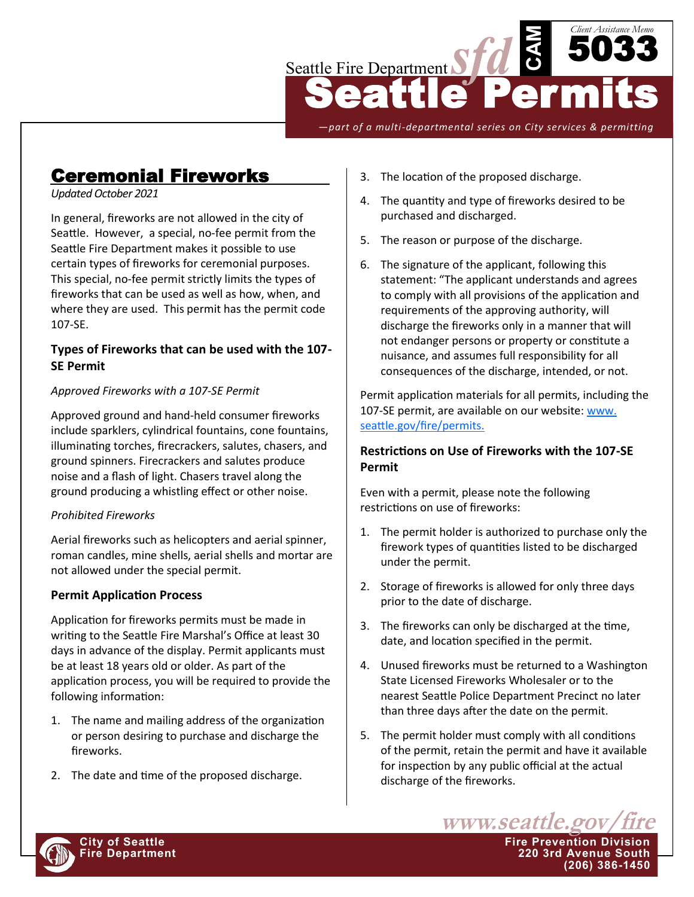

*—part of a multi-departmental series on City services & permitting*

# Ceremonial Fireworks

#### *Updated October 2021*

In general, fireworks are not allowed in the city of Seattle. However, a special, no-fee permit from the Seattle Fire Department makes it possible to use certain types of fireworks for ceremonial purposes. This special, no-fee permit strictly limits the types of fireworks that can be used as well as how, when, and where they are used. This permit has the permit code 107-SE.

## **Types of Fireworks that can be used with the 107- SE Permit**

### *Approved Fireworks with a 107-SE Permit*

Approved ground and hand-held consumer fireworks include sparklers, cylindrical fountains, cone fountains, illuminating torches, firecrackers, salutes, chasers, and ground spinners. Firecrackers and salutes produce noise and a flash of light. Chasers travel along the ground producing a whistling effect or other noise.

### *Prohibited Fireworks*

Aerial fireworks such as helicopters and aerial spinner, roman candles, mine shells, aerial shells and mortar are not allowed under the special permit.

## **Permit Application Process**

Application for fireworks permits must be made in writing to the Seattle Fire Marshal's Office at least 30 days in advance of the display. Permit applicants must be at least 18 years old or older. As part of the application process, you will be required to provide the following information:

- 1. The name and mailing address of the organization or person desiring to purchase and discharge the fireworks.
- 2. The date and time of the proposed discharge.
- 3. The location of the proposed discharge.
- 4. The quantity and type of fireworks desired to be purchased and discharged.
- 5. The reason or purpose of the discharge.
- 6. The signature of the applicant, following this statement: "The applicant understands and agrees to comply with all provisions of the application and requirements of the approving authority, will discharge the fireworks only in a manner that will not endanger persons or property or constitute a nuisance, and assumes full responsibility for all consequences of the discharge, intended, or not.

Permit application materials for all permits, including the 107-SE permit, are available on our website: www. [seattle.gov/fire/permits.](http://www.seattle.gov/fire/permits) 

## **Restrictions on Use of Fireworks with the 107-SE Permit**

Even with a permit, please note the following restrictions on use of fireworks:

- 1. The permit holder is authorized to purchase only the firework types of quantities listed to be discharged under the permit.
- 2. Storage of fireworks is allowed for only three days prior to the date of discharge.
- 3. The fireworks can only be discharged at the time, date, and location specified in the permit.
- 4. Unused fireworks must be returned to a Washington State Licensed Fireworks Wholesaler or to the nearest Seattle Police Department Precinct no later than three days after the date on the permit.
- 5. The permit holder must comply with all conditions of the permit, retain the permit and have it available for inspection by any public official at the actual discharge of the fireworks.





**(206) 386-1450**